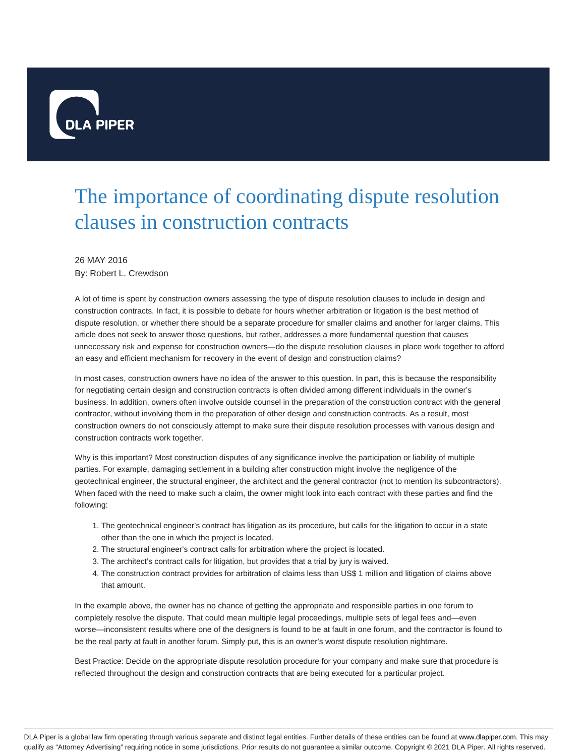

## The importance of coordinating dispute resolution clauses in construction contracts

## 26 MAY 2016

By: Robert L. Crewdson

A lot of time is spent by construction owners assessing the type of dispute resolution clauses to include in design and construction contracts. In fact, it is possible to debate for hours whether arbitration or litigation is the best method of dispute resolution, or whether there should be a separate procedure for smaller claims and another for larger claims. This article does not seek to answer those questions, but rather, addresses a more fundamental question that causes unnecessary risk and expense for construction owners—do the dispute resolution clauses in place work together to afford an easy and efficient mechanism for recovery in the event of design and construction claims?

In most cases, construction owners have no idea of the answer to this question. In part, this is because the responsibility for negotiating certain design and construction contracts is often divided among different individuals in the owner's business. In addition, owners often involve outside counsel in the preparation of the construction contract with the general contractor, without involving them in the preparation of other design and construction contracts. As a result, most construction owners do not consciously attempt to make sure their dispute resolution processes with various design and construction contracts work together.

Why is this important? Most construction disputes of any significance involve the participation or liability of multiple parties. For example, damaging settlement in a building after construction might involve the negligence of the geotechnical engineer, the structural engineer, the architect and the general contractor (not to mention its subcontractors). When faced with the need to make such a claim, the owner might look into each contract with these parties and find the following:

- 1. The geotechnical engineer's contract has litigation as its procedure, but calls for the litigation to occur in a state other than the one in which the project is located.
- 2. The structural engineer's contract calls for arbitration where the project is located.
- 3. The architect's contract calls for litigation, but provides that a trial by jury is waived.
- The construction contract provides for arbitration of claims less than US\$ 1 million and litigation of claims above 4. that amount.

In the example above, the owner has no chance of getting the appropriate and responsible parties in one forum to completely resolve the dispute. That could mean multiple legal proceedings, multiple sets of legal fees and—even worse—inconsistent results where one of the designers is found to be at fault in one forum, and the contractor is found to be the real party at fault in another forum. Simply put, this is an owner's worst dispute resolution nightmare.

Best Practice: Decide on the appropriate dispute resolution procedure for your company and make sure that procedure is reflected throughout the design and construction contracts that are being executed for a particular project.